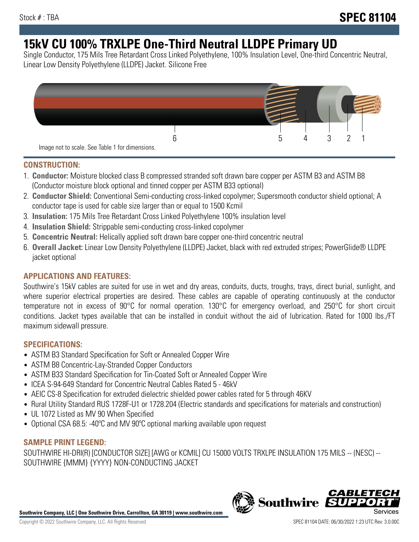# **15kV CU 100% TRXLPE One-Third Neutral LLDPE Primary UD**

Single Conductor, 175 Mils Tree Retardant Cross Linked Polyethylene, 100% Insulation Level, One-third Concentric Neutral, Linear Low Density Polyethylene (LLDPE) Jacket. Silicone Free



### **CONSTRUCTION:**

- 1. **Conductor:** Moisture blocked class B compressed stranded soft drawn bare copper per ASTM B3 and ASTM B8 (Conductor moisture block optional and tinned copper per ASTM B33 optional)
- 2. **Conductor Shield:** Conventional Semi-conducting cross-linked copolymer; Supersmooth conductor shield optional; A conductor tape is used for cable size larger than or equal to 1500 Kcmil
- 3. **Insulation:** 175 Mils Tree Retardant Cross Linked Polyethylene 100% insulation level
- 4. **Insulation Shield:** Strippable semi-conducting cross-linked copolymer
- 5. **Concentric Neutral:** Helically applied soft drawn bare copper one-third concentric neutral
- 6. **Overall Jacket:** Linear Low Density Polyethylene (LLDPE) Jacket, black with red extruded stripes; PowerGlide® LLDPE jacket optional

# **APPLICATIONS AND FEATURES:**

Southwire's 15kV cables are suited for use in wet and dry areas, conduits, ducts, troughs, trays, direct burial, sunlight, and where superior electrical properties are desired. These cables are capable of operating continuously at the conductor temperature not in excess of 90°C for normal operation. 130°C for emergency overload, and 250°C for short circuit conditions. Jacket types available that can be installed in conduit without the aid of lubrication. Rated for 1000 lbs./FT maximum sidewall pressure.

# **SPECIFICATIONS:**

- ASTM B3 Standard Specification for Soft or Annealed Copper Wire
- ASTM B8 Concentric-Lay-Stranded Copper Conductors
- ASTM B33 Standard Specification for Tin-Coated Soft or Annealed Copper Wire
- ICEA S-94-649 Standard for Concentric Neutral Cables Rated 5 46kV
- AEIC CS-8 Specification for extruded dielectric shielded power cables rated for 5 through 46KV
- Rural Utility Standard RUS 1728F-U1 or 1728.204 (Electric standards and specifications for materials and construction)
- UL 1072 Listed as MV 90 When Specified
- Optional CSA 68.5: -40ºC and MV 90ºC optional marking available upon request

# **SAMPLE PRINT LEGEND:**

SOUTHWIRE HI-DRI(R) [CONDUCTOR SIZE] [AWG or KCMIL] CU 15000 VOLTS TRXLPE INSULATION 175 MILS -- (NESC) -- SOUTHWIRE {MMM} {YYYY} NON-CONDUCTING JACKET

**Southwire Company, LLC | One Southwire Drive, Carrollton, GA 30119 | www.southwire.com**

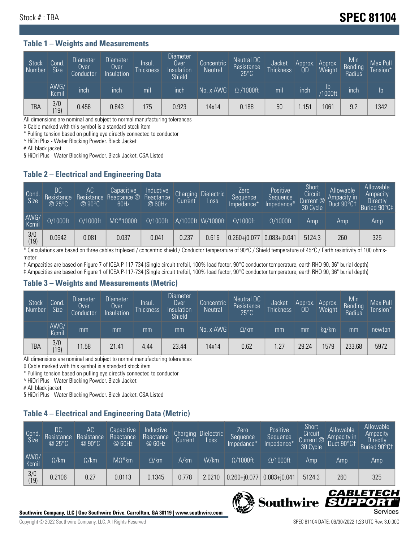# Stock # : TBA **SPEC 81104**

#### **Table 1 – Weights and Measurements**

| <b>Stock</b><br>  Number | Cond<br><b>Size</b> | <b>Diameter</b><br>Over<br>Conductor | Diameter<br><b>Over</b><br>Insulation | <b>Insul</b><br><b>Thickness</b> | Diameter<br>Over<br>Insulation<br><b>Shield</b> | Concentric<br><b>Neutral</b> | Neutral DC<br>Resistance<br>$25^{\circ}$ C | Jacket<br><b>Thickness</b> | Approx.<br>0D    | Approx.<br><b>Weight</b> | Min<br>Bending<br>Radius | Max Pull<br>Tension* |
|--------------------------|---------------------|--------------------------------------|---------------------------------------|----------------------------------|-------------------------------------------------|------------------------------|--------------------------------------------|----------------------------|------------------|--------------------------|--------------------------|----------------------|
|                          | AWG/<br>Kcmil       | inch                                 | inch                                  | mil                              | inch                                            | No. x AWG                    | $\Omega$ /1000ft                           | mil                        | inch             | Ib<br>/1000ft            | inch                     | Ib                   |
| <b>TBA</b>               | 3/0<br>(19)         | 0.456                                | 0.843                                 | 175                              | 0.923                                           | 14x14                        | 0.188                                      | 50                         | .15 <sup>1</sup> | 1061                     | 9.2                      | 1342                 |

All dimensions are nominal and subject to normal manufacturing tolerances

◊ Cable marked with this symbol is a standard stock item

\* Pulling tension based on pulling eye directly connected to conductor

^ HiDri Plus - Water Blocking Powder. Black Jacket

# All black jacket

§ HiDri Plus - Water Blocking Powder. Black Jacket. CSA Listed

### **Table 2 – Electrical and Engineering Data**

| Cond.<br>Size         | 'DC<br>Resistance<br>@25°C | 'AC<br>Resistance<br>$@90^{\circ}C$ | Capacitive<br>Reactance @<br>60Hz | Inductive<br>Reactance<br>@ 60Hz | Charging<br>Current | Dielectric<br>Loss | Zero<br>Sequence<br>Impedance* | Positive<br>Sequence<br>Impedance <sup>+</sup> | Short<br>Circuit<br>Current @<br>30 Cycle | Allowable<br>Ampacity in<br>Duct 90°C† | Allowable<br>Ampacity<br><b>Directly</b><br>Buried 90°C‡ |
|-----------------------|----------------------------|-------------------------------------|-----------------------------------|----------------------------------|---------------------|--------------------|--------------------------------|------------------------------------------------|-------------------------------------------|----------------------------------------|----------------------------------------------------------|
| AWG/<br>Kcmil         | $\Omega/1000$ ft           | $\Omega/1000$ ft                    | $M\Omega^*1000$ ft                | $\Omega/1000$ ft                 |                     | A/1000ft W/1000ft  | $O/1000$ ft                    | $\Omega$ /1000ft                               | Amp                                       | Amp                                    | Amp                                                      |
| $\frac{3}{0}$<br>(19) | 0.0642                     | 0.081                               | 0.037                             | 0.041                            | 0.237               | 0.616              | $ 0.260 + j0.077 $             | $0.083 + j0.041$                               | 5124.3                                    | 260                                    | 325                                                      |

\* Calculations are based on three cables triplexed / concentric shield / Conductor temperature of 90°C / Shield temperature of 45°C / Earth resistivity of 100 ohmsmeter

† Ampacities are based on Figure 7 of ICEA P-117-734 (Single circuit trefoil, 100% load factor, 90°C conductor temperature, earth RHO 90, 36" burial depth) ‡ Ampacities are based on Figure 1 of ICEA P-117-734 (Single circuit trefoil, 100% load factor, 90°C conductor temperature, earth RHO 90, 36" burial depth)

### **Table 3 – Weights and Measurements (Metric)**

| Stock<br>Number | Cond.<br>Size | Diameter<br>Over<br>Conductor | Diameter,<br><b>Over</b><br>Insulation | Insul.<br><b>Thickness</b> | <b>Diameter</b><br>Over<br>Insulation<br><b>Shield</b> | Concentric<br><b>Neutral</b> | Neutral DC<br>Resistance<br>$25^{\circ}$ C | Jacket<br><b>Thickness</b> | Approx.<br>0D | Approx.<br>Weight | Min<br>Bending<br>Radius | Max Pull<br>Tension* |
|-----------------|---------------|-------------------------------|----------------------------------------|----------------------------|--------------------------------------------------------|------------------------------|--------------------------------------------|----------------------------|---------------|-------------------|--------------------------|----------------------|
|                 | AWG/<br>Kcmil | mm                            | mm                                     | mm                         | mm                                                     | No. x AWG                    | $\Omega$ /km                               | mm                         | mm            | ka/km             | mm                       | newton               |
| <b>TBA</b>      | 3/0<br>(19)   | 11.58                         | 21.41                                  | 4.44                       | 23.44                                                  | 14x14                        | 0.62                                       | 1.27                       | 29.24         | 579               | 233.68                   | 5972                 |

All dimensions are nominal and subject to normal manufacturing tolerances

◊ Cable marked with this symbol is a standard stock item

\* Pulling tension based on pulling eye directly connected to conductor

^ HiDri Plus - Water Blocking Powder. Black Jacket

# All black jacket

§ HiDri Plus - Water Blocking Powder. Black Jacket. CSA Listed

# **Table 4 – Electrical and Engineering Data (Metric)**

| Cond<br>Size  | DC<br>Resistance<br>@25°C | AC<br>Resistance<br>$@90^{\circ}C$ | Capacitive<br>Reactance<br>@ 60Hz | Inductive<br>Reactance<br>@ 60Hz | Charging<br>Current | <b>Dielectric</b><br>Loss. | Zero<br>'Sequence,<br>Impedance* | Positive<br>Sequence<br>Impedance* | Short<br>Circuit<br>Current $@'$<br>30 Cycle | Allowable<br>Ampacity in<br>Duct 90°C1 | Allowable<br>Ampacity<br><b>Directly</b><br>Buried 90°C‡ |
|---------------|---------------------------|------------------------------------|-----------------------------------|----------------------------------|---------------------|----------------------------|----------------------------------|------------------------------------|----------------------------------------------|----------------------------------------|----------------------------------------------------------|
| AWG/<br>Kcmil | $\Omega$ /km              | $\Omega$ /km                       | $M\Omega^*$ km                    | $\Omega$ /km                     | A/km                | W/km                       | $\Omega/1000$ ft                 | $\Omega/1000$ ft                   | Amp                                          | Amp                                    | Amp                                                      |
| $\frac{3}{0}$ | 0.2106                    | 0.27                               | 0.0113                            | 0.1345                           | 0.778               | 2.0210                     | $0.260 + j0.077$                 | $0.083 + j0.041$                   | 5124.3                                       | 260                                    | 325                                                      |



CABLE

UPPO

IS

**Southwire**